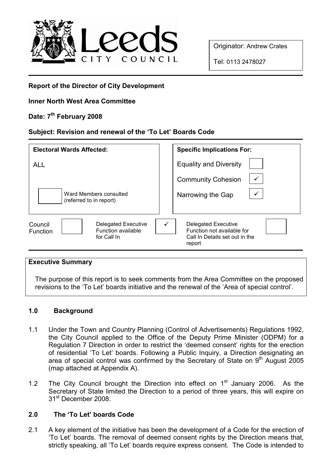

Originator: Andrew Crates

Tel: 0113 2478027

## Report of the Director of City Development

## Inner North West Area Committee

# Date: 7<sup>th</sup> February 2008

# Subject: Revision and renewal of the 'To Let' Boards Code

| <b>Electoral Wards Affected:</b>                                                       | <b>Specific Implications For:</b>                                                             |
|----------------------------------------------------------------------------------------|-----------------------------------------------------------------------------------------------|
| <b>ALL</b>                                                                             | <b>Equality and Diversity</b>                                                                 |
|                                                                                        | <b>Community Cohesion</b>                                                                     |
| Ward Members consulted<br>(referred to in report)                                      | Narrowing the Gap                                                                             |
| Delegated Executive<br>Council<br>Function available<br><b>Function</b><br>for Call In | Delegated Executive<br>Function not available for<br>Call In Details set out in the<br>report |

#### Executive Summary

The purpose of this report is to seek comments from the Area Committee on the proposed revisions to the 'To Let' boards initiative and the renewal of the 'Area of special control'.

## 1.0 Background

- 1.1 Under the Town and Country Planning (Control of Advertisements) Regulations 1992, the City Council applied to the Office of the Deputy Prime Minister (ODPM) for a Regulation 7 Direction in order to restrict the 'deemed consent' rights for the erection of residential 'To Let' boards. Following a Public Inquiry, a Direction designating an area of special control was confirmed by the Secretary of State on  $9<sup>th</sup>$  August 2005 (map attached at Appendix A).
- 1.2 The City Council brought the Direction into effect on  $1<sup>st</sup>$  January 2006. As the Secretary of State limited the Direction to a period of three years, this will expire on 31<sup>st</sup> December 2008.

## 2.0 The 'To Let' boards Code

2.1 A key element of the initiative has been the development of a Code for the erection of 'To Let' boards. The removal of deemed consent rights by the Direction means that, strictly speaking, all 'To Let' boards require express consent. The Code is intended to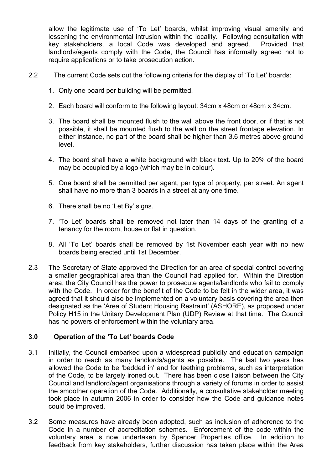allow the legitimate use of 'To Let' boards, whilst improving visual amenity and lessening the environmental intrusion within the locality. Following consultation with key stakeholders, a local Code was developed and agreed. Provided that landlords/agents comply with the Code, the Council has informally agreed not to require applications or to take prosecution action.

- 2.2 The current Code sets out the following criteria for the display of 'To Let' boards:
	- 1. Only one board per building will be permitted.
	- 2. Each board will conform to the following layout: 34cm x 48cm or 48cm x 34cm.
	- 3. The board shall be mounted flush to the wall above the front door, or if that is not possible, it shall be mounted flush to the wall on the street frontage elevation. In either instance, no part of the board shall be higher than 3.6 metres above ground level.
	- 4. The board shall have a white background with black text. Up to 20% of the board may be occupied by a logo (which may be in colour).
	- 5. One board shall be permitted per agent, per type of property, per street. An agent shall have no more than 3 boards in a street at any one time.
	- 6. There shall be no 'Let By' signs.
	- 7. 'To Let' boards shall be removed not later than 14 days of the granting of a tenancy for the room, house or flat in question.
	- 8. All 'To Let' boards shall be removed by 1st November each year with no new boards being erected until 1st December.
- 2.3 The Secretary of State approved the Direction for an area of special control covering a smaller geographical area than the Council had applied for. Within the Direction area, the City Council has the power to prosecute agents/landlords who fail to comply with the Code. In order for the benefit of the Code to be felt in the wider area, it was agreed that it should also be implemented on a voluntary basis covering the area then designated as the 'Area of Student Housing Restraint' (ASHORE), as proposed under Policy H15 in the Unitary Development Plan (UDP) Review at that time. The Council has no powers of enforcement within the voluntary area.

## 3.0 Operation of the 'To Let' boards Code

- 3.1 Initially, the Council embarked upon a widespread publicity and education campaign in order to reach as many landlords/agents as possible. The last two years has allowed the Code to be 'bedded in' and for teething problems, such as interpretation of the Code, to be largely ironed out. There has been close liaison between the City Council and landlord/agent organisations through a variety of forums in order to assist the smoother operation of the Code. Additionally, a consultative stakeholder meeting took place in autumn 2006 in order to consider how the Code and guidance notes could be improved.
- 3.2 Some measures have already been adopted, such as inclusion of adherence to the Code in a number of accreditation schemes. Enforcement of the code within the voluntary area is now undertaken by Spencer Properties office. In addition to feedback from key stakeholders, further discussion has taken place within the Area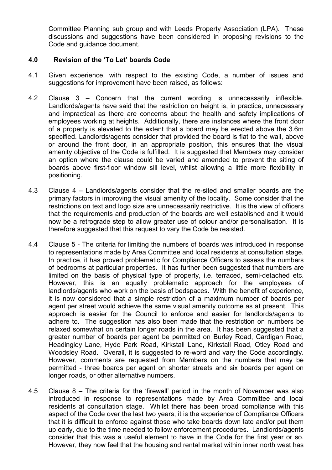Committee Planning sub group and with Leeds Property Association (LPA). These discussions and suggestions have been considered in proposing revisions to the Code and guidance document.

#### 4.0 Revision of the 'To Let' boards Code

- 4.1 Given experience, with respect to the existing Code, a number of issues and suggestions for improvement have been raised, as follows:
- 4.2 Clause 3 Concern that the current wording is unnecessarily inflexible. Landlords/agents have said that the restriction on height is, in practice, unnecessary and impractical as there are concerns about the health and safety implications of employees working at heights. Additionally, there are instances where the front door of a property is elevated to the extent that a board may be erected above the 3.6m specified. Landlords/agents consider that provided the board is flat to the wall, above or around the front door, in an appropriate position, this ensures that the visual amenity objective of the Code is fulfilled. It is suggested that Members may consider an option where the clause could be varied and amended to prevent the siting of boards above first-floor window sill level, whilst allowing a little more flexibility in positioning.
- 4.3 Clause 4 Landlords/agents consider that the re-sited and smaller boards are the primary factors in improving the visual amenity of the locality. Some consider that the restrictions on text and logo size are unnecessarily restrictive. It is the view of officers that the requirements and production of the boards are well established and it would now be a retrograde step to allow greater use of colour and/or personalisation. It is therefore suggested that this request to vary the Code be resisted.
- 4.4 Clause 5 The criteria for limiting the numbers of boards was introduced in response to representations made by Area Committee and local residents at consultation stage. In practice, it has proved problematic for Compliance Officers to assess the numbers of bedrooms at particular properties. It has further been suggested that numbers are limited on the basis of physical type of property, i.e. terraced, semi-detached etc. However, this is an equally problematic approach for the employees of landlords/agents who work on the basis of bedspaces. With the benefit of experience, it is now considered that a simple restriction of a maximum number of boards per agent per street would achieve the same visual amenity outcome as at present. This approach is easier for the Council to enforce and easier for landlords/agents to adhere to. The suggestion has also been made that the restriction on numbers be relaxed somewhat on certain longer roads in the area. It has been suggested that a greater number of boards per agent be permitted on Burley Road, Cardigan Road, Headingley Lane, Hyde Park Road, Kirkstall Lane, Kirkstall Road, Otley Road and Woodsley Road. Overall, it is suggested to re-word and vary the Code accordingly. However, comments are requested from Members on the numbers that may be permitted - three boards per agent on shorter streets and six boards per agent on longer roads, or other alternative numbers.
- 4.5 Clause 8 The criteria for the 'firewall' period in the month of November was also introduced in response to representations made by Area Committee and local residents at consultation stage. Whilst there has been broad compliance with this aspect of the Code over the last two years, it is the experience of Compliance Officers that it is difficult to enforce against those who take boards down late and/or put them up early, due to the time needed to follow enforcement procedures. Landlords/agents consider that this was a useful element to have in the Code for the first year or so. However, they now feel that the housing and rental market within inner north west has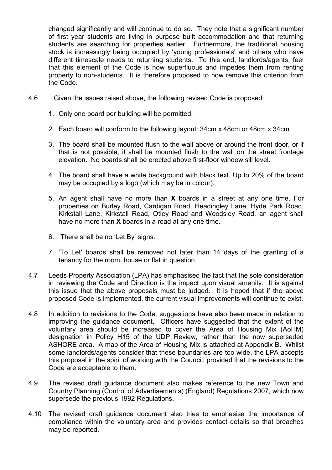changed significantly and will continue to do so. They note that a significant number of first year students are living in purpose built accommodation and that returning students are searching for properties earlier. Furthermore, the traditional housing stock is increasingly being occupied by 'young professionals' and others who have different timescale needs to returning students. To this end, landlords/agents, feel that this element of the Code is now superfluous and impedes them from renting property to non-students. It is therefore proposed to now remove this criterion from the Code.

- 4.6 Given the issues raised above, the following revised Code is proposed:
	- 1. Only one board per building will be permitted.
	- 2. Each board will conform to the following layout: 34cm x 48cm or 48cm x 34cm.
	- 3. The board shall be mounted flush to the wall above or around the front door, or if that is not possible, it shall be mounted flush to the wall on the street frontage elevation. No boards shall be erected above first-floor window sill level.
	- 4. The board shall have a white background with black text. Up to 20% of the board may be occupied by a logo (which may be in colour).
	- 5. An agent shall have no more than X boards in a street at any one time. For properties on Burley Road, Cardigan Road, Headingley Lane, Hyde Park Road, Kirkstall Lane, Kirkstall Road, Otley Road and Woodsley Road, an agent shall have no more than **X** boards in a road at any one time.
	- 6. There shall be no 'Let By' signs.
	- 7. 'To Let' boards shall be removed not later than 14 days of the granting of a tenancy for the room, house or flat in question.
- 4.7 Leeds Property Association (LPA) has emphasised the fact that the sole consideration in reviewing the Code and Direction is the impact upon visual amenity. It is against this issue that the above proposals must be judged. It is hoped that if the above proposed Code is implemented, the current visual improvements will continue to exist.
- 4.8 In addition to revisions to the Code, suggestions have also been made in relation to improving the guidance document. Officers have suggested that the extent of the voluntary area should be increased to cover the Area of Housing Mix (AoHM) designation in Policy H15 of the UDP Review, rather than the now superseded ASHORE area. A map of the Area of Housing Mix is attached at Appendix B. Whilst some landlords/agents consider that these boundaries are too wide, the LPA accepts this proposal in the spirit of working with the Council, provided that the revisions to the Code are acceptable to them.
- 4.9 The revised draft guidance document also makes reference to the new Town and Country Planning (Control of Advertisements) (England) Regulations 2007, which now supersede the previous 1992 Regulations.
- 4.10 The revised draft guidance document also tries to emphasise the importance of compliance within the voluntary area and provides contact details so that breaches may be reported.